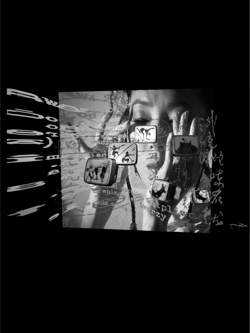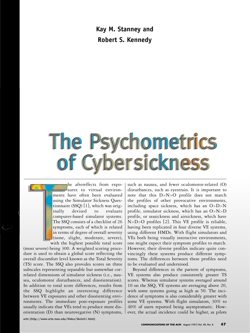**Kay M. Stanney and Robert S. Kennedy**

## The Psychometrics **Cybersickness**

he aftereffects from exposures to virtual environments have often been evaluated using the Simulator Sickness Questionnaire (SSQ) [1], which was originally devised to evaluate computer-based simulator systems. The SSQ consists of a checklist of 26 symptoms, each of which is related in terms of degree of overall severity (none, slight, moderate, severe), with the highest possible total score

(most severe) being 300. A weighted scoring procedure is used to obtain a global score reflecting the overall discomfort level known as the Total Severity (TS) score. The SSQ also provides scores on three subscales representing separable but somewhat correlated dimensions of simulator sickness (i.e., nausea, oculomotor disturbances, and disorientation). In addition to total score differences, results from the SSQ highlight an interesting difference between VE exposures and other disorienting environments. The immediate post-exposure profiles usually indicate that VEs tend to produce more disorientation (D) than neurovegative (N) symptoms, such as nausea, and fewer oculomotor-related (O) disturbances, such as eyestrain. It is important to note that this D>N>O profile does not match the profiles of other provocative environments, including space sickness, which has an O>D>N profile, simulator sickness, which has an O>N>D profile, or seasickness and airsickness, which have N>D>O profiles [2]. This VE profile is reliable, having been replicated in four diverse VE systems, using different HMDs. With flight simulators and VEs both being visually interactive environments, one might expect their symptom profiles to match. However, their diverse profiles indicate quite convincingly these systems produce different symptoms. The differences between these profiles need to be evaluated and understood.

Beyond differences in the pattern of symptoms, VE systems also produce consistently greater TS scores. Whereas simulator systems averaged around 10 on the SSQ, VE systems are averaging above 20, with some systems going as high as 50. The incidence of symptoms is also considerably greater with some VE systems. With flight simulators, 30% to 40% of users reported being asymptomatic. However, the actual incidence could be higher, as pilots

artn (http://www.artn.nwu.edu/Video/Sketch1.html)